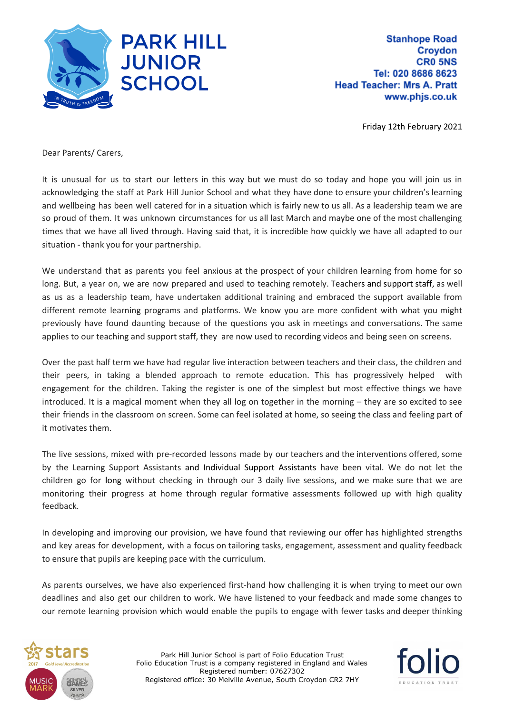

**Stanhope Road Croydon CR0 5NS** Tel: 020 8686 8623 **Head Teacher: Mrs A. Pratt** www.phjs.co.uk

Friday 12th February 2021

Dear Parents/ Carers,

It is unusual for us to start our letters in this way but we must do so today and hope you will join us in acknowledging the staff at Park Hill Junior School and what they have done to ensure your children's learning and wellbeing has been well catered for in a situation which is fairly new to us all. As a leadership team we are so proud of them. It was unknown circumstances for us all last March and maybe one of the most challenging times that we have all lived through. Having said that, it is incredible how quickly we have all adapted to our situation - thank you for your partnership.

We understand that as parents you feel anxious at the prospect of your children learning from home for so long. But, a year on, we are now prepared and used to teaching remotely. Teachers and support staff, as well as us as a leadership team, have undertaken additional training and embraced the support available from different remote learning programs and platforms. We know you are more confident with what you might previously have found daunting because of the questions you ask in meetings and conversations. The same applies to our teaching and support staff, they are now used to recording videos and being seen on screens.

Over the past half term we have had regular live interaction between teachers and their class, the children and their peers, in taking a blended approach to remote education. This has progressively helped with engagement for the children. Taking the register is one of the simplest but most effective things we have introduced. It is a magical moment when they all log on together in the morning – they are so excited to see their friends in the classroom on screen. Some can feel isolated at home, so seeing the class and feeling part of it motivates them.

The live sessions, mixed with pre-recorded lessons made by our teachers and the interventions offered, some by the Learning Support Assistants and Individual Support Assistants have been vital. We do not let the children go for long without checking in through our 3 daily live sessions, and we make sure that we are monitoring their progress at home through regular formative assessments followed up with high quality feedback.

In developing and improving our provision, we have found that reviewing our offer has highlighted strengths and key areas for development, with a focus on tailoring tasks, engagement, assessment and quality feedback to ensure that pupils are keeping pace with the curriculum.

As parents ourselves, we have also experienced first-hand how challenging it is when trying to meet our own deadlines and also get our children to work. We have listened to your feedback and made some changes to our remote learning provision which would enable the pupils to engage with fewer tasks and deeper thinking



Park Hill Junior School is part of Folio Education Trust Folio Education Trust is a company registered in England and Wales Registered number: 07627302 Registered office: 30 Melville Avenue, South Croydon CR2 7HY

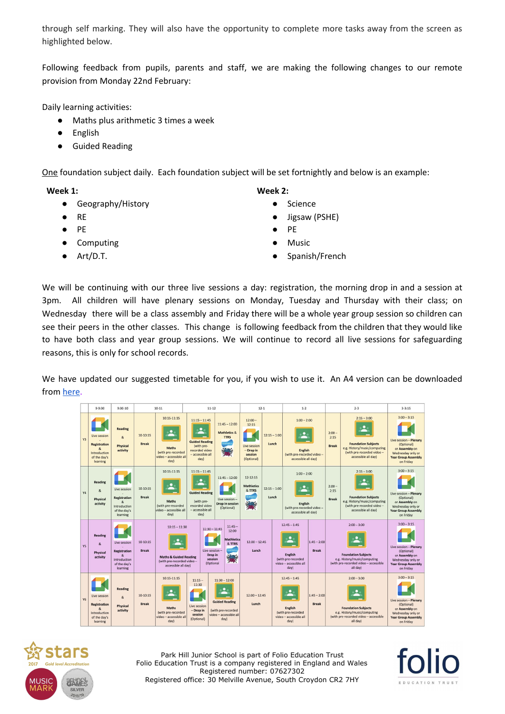through self marking. They will also have the opportunity to complete more tasks away from the screen as highlighted below.

Following feedback from pupils, parents and staff, we are making the following changes to our remote provision from Monday 22nd February:

Daily learning activities:

- Maths plus arithmetic 3 times a week
- **English**
- **Guided Reading**

One foundation subject daily. Each foundation subject will be set fortnightly and below is an example:

**Week 1:**

- Geography/History
- RE
- PE
- Computing
- Art/D.T.
- **Week 2:**
	- Science
	- Jigsaw (PSHE)
	- PE
	- **Music**
	- Spanish/French

We will be continuing with our three live sessions a day: registration, the morning drop in and a session at 3pm. All children will have plenary sessions on Monday, Tuesday and Thursday with their class; on Wednesday there will be a class assembly and Friday there will be a whole year group session so children can see their peers in the other classes. This change is following feedback from the children that they would like to have both class and year group sessions. We will continue to record all live sessions for safeguarding reasons, this is only for school records.

We have updated our suggested timetable for you, if you wish to use it. An A4 version can be downloaded from [here.](https://resources.finalsite.net/images/v1613120779/folioeducationcouk/vbaethf6vcalolvecjss/RemoteLearningTimetable-Feb2021.pdf)

|                | $9 - 9:30$                                                                                       | $9:30-10$                                                                                                     | $10-11$                    |                                                                                     | $11 - 12$                                                                                                                                                                                                                                                |                                                                                                  | $12-1$                                                                     |                         | $1 - 2$                                                                                  |                               | $2 - 3$                                                                                                                          |                                                                                                                                  | $3 - 3:15$                                                                                                                              |
|----------------|--------------------------------------------------------------------------------------------------|---------------------------------------------------------------------------------------------------------------|----------------------------|-------------------------------------------------------------------------------------|----------------------------------------------------------------------------------------------------------------------------------------------------------------------------------------------------------------------------------------------------------|--------------------------------------------------------------------------------------------------|----------------------------------------------------------------------------|-------------------------|------------------------------------------------------------------------------------------|-------------------------------|----------------------------------------------------------------------------------------------------------------------------------|----------------------------------------------------------------------------------------------------------------------------------|-----------------------------------------------------------------------------------------------------------------------------------------|
| Y3             | Live session<br><b>Registration</b><br>Introduction<br>of the day's<br>learning                  | <b>Reading</b><br>&<br>Physical<br>activity                                                                   | $10-10:15$<br><b>Break</b> | 10:15-11:15<br><b>Maths</b><br>(with pre-recorded<br>video - accessible all<br>day) | $11:15 - 11:45$<br><b>Guided Reading</b><br>(with pre-<br>recorded video<br>- accessible all<br>day)                                                                                                                                                     | $11:45 - 12:00$<br><b>Mathletics &amp;</b><br><b>TTRS</b>                                        | $12:00 -$<br>12:15<br>Live session<br>$-$ Drop in<br>session<br>(Optional) | $12:15 - 1:00$<br>Lunch | $1:00 - 2:00$<br><b>English</b><br>(with pre-recorded video -<br>accessible all day)     |                               | $2:00 -$<br>2:15<br><b>Break</b>                                                                                                 | $2:15 - 3:00$<br><b>Foundation Subjects</b><br>e.g. History/music/computing<br>(with pre-recorded video -<br>accessible all day) | $3:00 - 3:15$<br>Live session - Plenary<br>(Optional)<br>or Assembly on<br>Wednesday only or<br><b>Year Group Assembly</b><br>on Friday |
| <b>Y4</b>      | <b>Reading</b><br>$\mathcal{R}$<br>Physical<br>activity                                          | Live session<br><b>Registration</b><br>$\mathbf{R}$<br>Introduction<br>of the day's<br>learning               | 10-10:15<br><b>Break</b>   | 10:15-11:15<br><b>Maths</b><br>(with pre-recorded<br>video - accessible all<br>day) | $11:15 - 11:45$<br>٠<br><b>Guided Reading</b><br>(with pre-<br>recorded video<br>- accessible all<br>day)                                                                                                                                                | $11:45 - 12:00$<br>Live session-<br><b>Drop in session</b><br>(Optional)                         | $12 - 12:15$<br><b>Mathletics</b><br>& TTRS                                | $12:15 - 1:00$<br>Lunch | $1:00 - 2:00$<br>English<br>(with pre-recorded video -<br>accessible all day)            |                               | $2:00 -$<br>2:15<br><b>Break</b>                                                                                                 | $2:15 - 3:00$<br><b>Foundation Subjects</b><br>e.g. History/music/computing<br>(with pre-recorded video -<br>accessible all day) | $3:00 - 3:15$<br>Live session - Plenary<br>(Optional)<br>or Assembly on<br>Wednesday only or<br><b>Year Group Assembly</b><br>on Friday |
| <b>Y5</b>      | <b>Reading</b><br>$\mathbf{8}$<br>Physical<br>activity                                           | Live session<br><b>Registration</b><br>$\boldsymbol{\mathcal{R}}$<br>Introduction<br>of the day's<br>learning | 10-10:15<br><b>Break</b>   |                                                                                     | $11:45 -$<br>$10:15 - 11:30$<br>$11:30 - 11:45$<br>12:00<br><b>Mathletics</b><br>& TTRS<br>Live session<br>Drop in<br><b>Nika</b><br><b>Maths &amp; Guided Reading</b><br>ś<br>session<br>(with pre-recorded video -<br>(Optional<br>accessible all day) |                                                                                                  | $12:00 - 12:45$<br>Lunch                                                   |                         | $12:45 - 1:45$<br><b>English</b><br>(with pre-recorded<br>video - accessible all<br>day) | $1:45 - 2:00$<br><b>Break</b> | $2:00 - 3:00$<br><b>Foundation Subjects</b><br>e.g. History/music/computing<br>(with pre-recorded video - accessible<br>all day) |                                                                                                                                  | $3:00 - 3:15$<br>Live session - Plenary<br>(Optional)<br>or Assembly on<br>Wednesday only or<br><b>Year Group Assembly</b><br>on Friday |
| Y <sub>6</sub> | Live session<br><b>Registration</b><br>$\mathcal{R}$<br>Introduction<br>of the day's<br>learning | <b>Reading</b><br>&<br>Physical<br>activity                                                                   | 10-10:15<br><b>Break</b>   | 10:15-11:15<br><b>Maths</b><br>(with pre-recorded<br>video - accessible all<br>day) | $11:15 -$<br>11:30<br>Live session<br>- Drop in<br>session<br>(Optional)                                                                                                                                                                                 | $11:30 - 12:00$<br><b>Guided Reading</b><br>(with pre-recorded<br>video - accessible all<br>day) | $12:00 - 12:45$<br>Lunch                                                   |                         | $12:45 - 1:45$<br><b>English</b><br>(with pre-recorded<br>video - accessible all<br>day) | $1:45 - 2:00$<br><b>Break</b> | $2:00 - 3:00$<br><b>Foundation Subjects</b><br>e.g. History/music/computing<br>(with pre-recorded video - accessible<br>all day) |                                                                                                                                  | $3:00 - 3:15$<br>Live session - Plenary<br>(Optional)<br>or Assembly on<br>Wednesday only or<br><b>Year Group Assembly</b><br>on Friday |



Park Hill Junior School is part of Folio Education Trust Folio Education Trust is a company registered in England and Wales Registered number: 07627302 Registered office: 30 Melville Avenue, South Croydon CR2 7HY